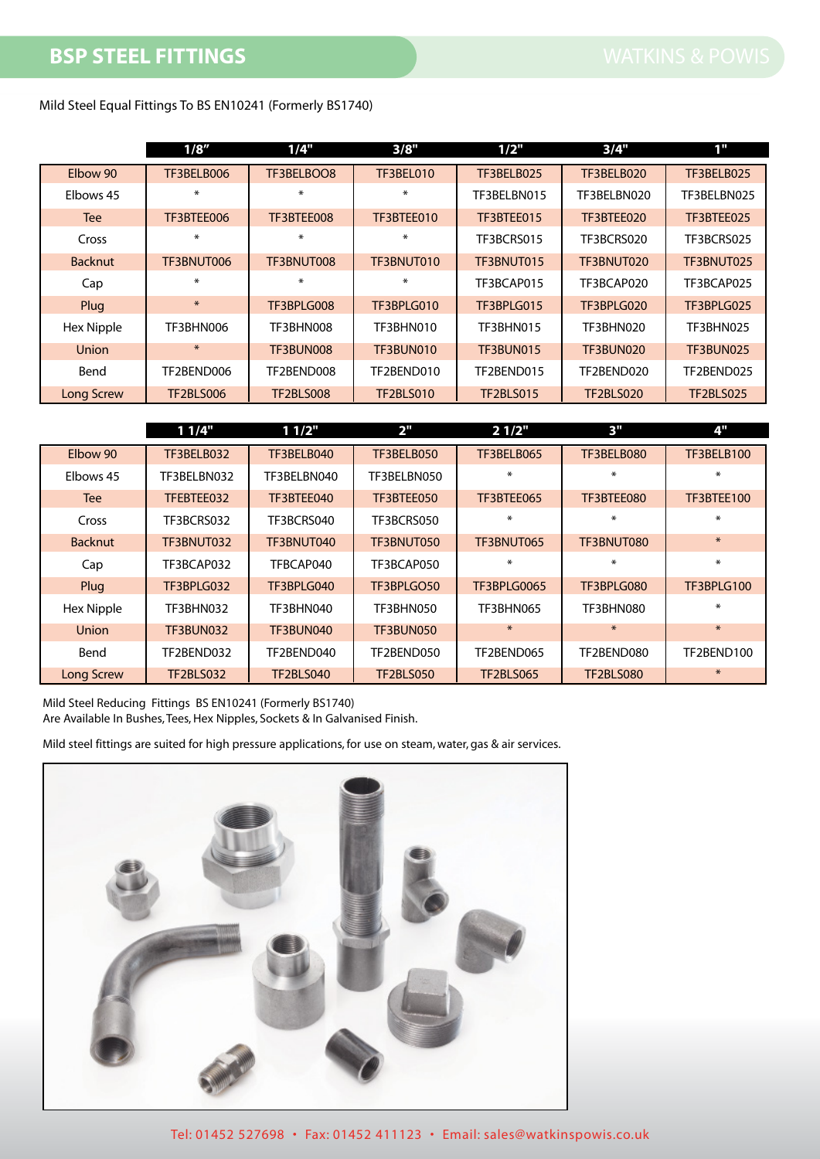Mild Steel Equal Fittings To BS EN10241 (Formerly BS1740)

|                   | 1/8''            | 1/4"             | 3/8"             | 1/2"             | 3/4"             | 1"               |
|-------------------|------------------|------------------|------------------|------------------|------------------|------------------|
| Elbow 90          | TF3BELB006       | TF3BELBOO8       | <b>TF3BEL010</b> | TF3BELB025       | TF3BELB020       | TF3BELB025       |
| Elbows 45         | ∗                | ÷.               | $\ast$           | TF3BELBN015      | TF3BELBN020      | TF3BELBN025      |
| <b>Tee</b>        | TF3BTEE006       | TF3BTEE008       | TF3BTEE010       | TF3BTEE015       | TF3BTEE020       | TF3BTEE025       |
| Cross             | ∗                | ÷.               | ∗                | TF3BCRS015       | TF3BCRS020       | TF3BCRS025       |
| <b>Backnut</b>    | TF3BNUT006       | TF3BNUT008       | TF3BNUT010       | TF3BNUT015       | TF3BNUT020       | TF3BNUT025       |
| Cap               | ∗                | ÷.               | $\ast$           | TF3BCAP015       | TF3BCAP020       | TF3BCAP025       |
| Plug              | $\ast$           | TF3BPLG008       | TF3BPLG010       | TF3BPLG015       | TF3BPLG020       | TF3BPLG025       |
| Hex Nipple        | TF3BHN006        | TF3BHN008        | TF3BHN010        | TF3BHN015        | TF3BHN020        | TF3BHN025        |
| Union             | $*$              | TF3BUN008        | TF3BUN010        | <b>TF3BUN015</b> | TF3BUN020        | <b>TF3BUN025</b> |
| Bend              | TF2BEND006       | TF2BEND008       | TF2BEND010       | TF2BEND015       | TF2BEND020       | TF2BEND025       |
| <b>Long Screw</b> | <b>TF2BLS006</b> | <b>TF2BLS008</b> | <b>TF2BLS010</b> | <b>TF2BLS015</b> | <b>TF2BLS020</b> | <b>TF2BLS025</b> |

|                   | 11/4"            | 11/2"            | 2 <sup>''</sup>  | 21/2"              | 3"               | 4"         |
|-------------------|------------------|------------------|------------------|--------------------|------------------|------------|
| Elbow 90          | TF3BELB032       | TF3BELB040       | TF3BELB050       | TF3BELB065         | TF3BELB080       | TF3BELB100 |
| Elbows 45         | TF3BELBN032      | TF3BELBN040      | TF3BELBN050      | ∗                  | ÷.               | ₩          |
| <b>Tee</b>        | TFEBTEE032       | TF3BTEE040       | TF3BTEE050       | TF3BTEE065         | TF3BTEE080       | TF3BTEE100 |
| Cross             | TF3BCRS032       | TF3BCRS040       | TF3BCRS050       | ÷.                 | ÷.               | ÷.         |
| <b>Backnut</b>    | TF3BNUT032       | TF3BNUT040       | TF3BNUT050       | TF3BNUT065         | TF3BNUT080       | $\ast$     |
| Cap               | TF3BCAP032       | TFBCAP040        | TF3BCAP050       | $\ast$             | *                | $\ast$     |
| Plug              | TF3BPLG032       | TF3BPLG040       | TF3BPLGO50       | <b>TF3BPLG0065</b> | TF3BPLG080       | TF3BPLG100 |
| <b>Hex Nipple</b> | TF3BHN032        | TF3BHN040        | TF3BHN050        | TF3BHN065          | TF3BHN080        | ₩          |
| <b>Union</b>      | <b>TF3BUN032</b> | TF3BUN040        | TF3BUN050        | $\ast$             | $\ast$           | $\ast$     |
| Bend              | TF2BEND032       | TF2BEND040       | TF2BEND050       | TF2BEND065         | TF2BEND080       | TF2BEND100 |
| <b>Long Screw</b> | <b>TF2BLS032</b> | <b>TF2BLS040</b> | <b>TF2BLS050</b> | <b>TF2BLS065</b>   | <b>TF2BLS080</b> | $\ast$     |

Mild Steel Reducing Fittings BS EN10241 (Formerly BS1740) Are Available In Bushes, Tees, Hex Nipples, Sockets & In Galvanised Finish.

Mild steel fittings are suited for high pressure applications, for use on steam, water, gas & air services.